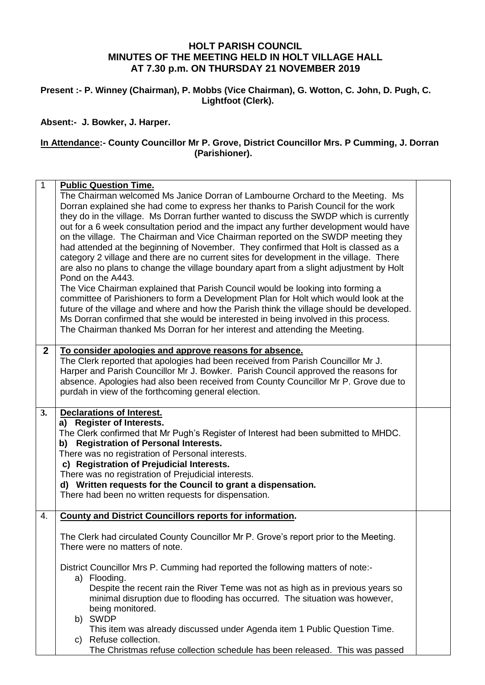## **HOLT PARISH COUNCIL MINUTES OF THE MEETING HELD IN HOLT VILLAGE HALL AT 7.30 p.m. ON THURSDAY 21 NOVEMBER 2019**

**Present :- P. Winney (Chairman), P. Mobbs (Vice Chairman), G. Wotton, C. John, D. Pugh, C. Lightfoot (Clerk).**

**Absent:- J. Bowker, J. Harper.**

## **In Attendance:- County Councillor Mr P. Grove, District Councillor Mrs. P Cumming, J. Dorran (Parishioner).**

| The Chairman welcomed Ms Janice Dorran of Lambourne Orchard to the Meeting. Ms                                                                                          |
|-------------------------------------------------------------------------------------------------------------------------------------------------------------------------|
| Dorran explained she had come to express her thanks to Parish Council for the work                                                                                      |
| they do in the village. Ms Dorran further wanted to discuss the SWDP which is currently                                                                                 |
| out for a 6 week consultation period and the impact any further development would have                                                                                  |
| on the village. The Chairman and Vice Chairman reported on the SWDP meeting they<br>had attended at the beginning of November. They confirmed that Holt is classed as a |
| category 2 village and there are no current sites for development in the village. There                                                                                 |
| are also no plans to change the village boundary apart from a slight adjustment by Holt                                                                                 |
|                                                                                                                                                                         |
| The Vice Chairman explained that Parish Council would be looking into forming a                                                                                         |
| committee of Parishioners to form a Development Plan for Holt which would look at the                                                                                   |
| future of the village and where and how the Parish think the village should be developed.                                                                               |
| Ms Dorran confirmed that she would be interested in being involved in this process.                                                                                     |
| The Chairman thanked Ms Dorran for her interest and attending the Meeting.                                                                                              |
|                                                                                                                                                                         |
| The Clerk reported that apologies had been received from Parish Councillor Mr J.                                                                                        |
| Harper and Parish Councillor Mr J. Bowker. Parish Council approved the reasons for                                                                                      |
| absence. Apologies had also been received from County Councillor Mr P. Grove due to                                                                                     |
|                                                                                                                                                                         |
|                                                                                                                                                                         |
|                                                                                                                                                                         |
|                                                                                                                                                                         |
| The Clerk confirmed that Mr Pugh's Register of Interest had been submitted to MHDC.                                                                                     |
|                                                                                                                                                                         |
|                                                                                                                                                                         |
|                                                                                                                                                                         |
|                                                                                                                                                                         |
|                                                                                                                                                                         |
|                                                                                                                                                                         |
|                                                                                                                                                                         |
| The Clerk had circulated County Councillor Mr P. Grove's report prior to the Meeting.                                                                                   |
|                                                                                                                                                                         |
|                                                                                                                                                                         |
| District Councillor Mrs P. Cumming had reported the following matters of note:-                                                                                         |
|                                                                                                                                                                         |
| Despite the recent rain the River Teme was not as high as in previous years so                                                                                          |
| minimal disruption due to flooding has occurred. The situation was however,                                                                                             |
|                                                                                                                                                                         |
|                                                                                                                                                                         |
| This item was already discussed under Agenda item 1 Public Question Time.                                                                                               |
| The Christmas refuse collection schedule has been released. This was passed                                                                                             |
|                                                                                                                                                                         |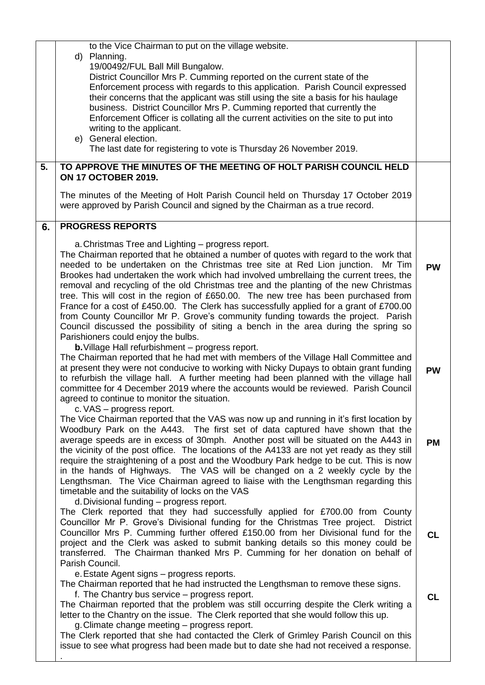| 5. | to the Vice Chairman to put on the village website.<br>d) Planning.<br>19/00492/FUL Ball Mill Bungalow.<br>District Councillor Mrs P. Cumming reported on the current state of the<br>Enforcement process with regards to this application. Parish Council expressed<br>their concerns that the applicant was still using the site a basis for his haulage<br>business. District Councillor Mrs P. Cumming reported that currently the<br>Enforcement Officer is collating all the current activities on the site to put into<br>writing to the applicant.<br>e) General election.<br>The last date for registering to vote is Thursday 26 November 2019.<br>TO APPROVE THE MINUTES OF THE MEETING OF HOLT PARISH COUNCIL HELD<br><b>ON 17 OCTOBER 2019.</b><br>The minutes of the Meeting of Holt Parish Council held on Thursday 17 October 2019<br>were approved by Parish Council and signed by the Chairman as a true record. |           |
|----|------------------------------------------------------------------------------------------------------------------------------------------------------------------------------------------------------------------------------------------------------------------------------------------------------------------------------------------------------------------------------------------------------------------------------------------------------------------------------------------------------------------------------------------------------------------------------------------------------------------------------------------------------------------------------------------------------------------------------------------------------------------------------------------------------------------------------------------------------------------------------------------------------------------------------------|-----------|
| 6. | <b>PROGRESS REPORTS</b>                                                                                                                                                                                                                                                                                                                                                                                                                                                                                                                                                                                                                                                                                                                                                                                                                                                                                                            |           |
|    | a. Christmas Tree and Lighting – progress report.<br>The Chairman reported that he obtained a number of quotes with regard to the work that<br>needed to be undertaken on the Christmas tree site at Red Lion junction. Mr Tim<br>Brookes had undertaken the work which had involved umbrellaing the current trees, the<br>removal and recycling of the old Christmas tree and the planting of the new Christmas<br>tree. This will cost in the region of £650.00. The new tree has been purchased from<br>France for a cost of £450.00. The Clerk has successfully applied for a grant of £700.00<br>from County Councillor Mr P. Grove's community funding towards the project. Parish<br>Council discussed the possibility of siting a bench in the area during the spring so<br>Parishioners could enjoy the bulbs.                                                                                                            | <b>PW</b> |
|    | <b>b.</b> Village Hall refurbishment - progress report.<br>The Chairman reported that he had met with members of the Village Hall Committee and<br>at present they were not conducive to working with Nicky Dupays to obtain grant funding<br>to refurbish the village hall. A further meeting had been planned with the village hall<br>committee for 4 December 2019 where the accounts would be reviewed. Parish Council<br>agreed to continue to monitor the situation.<br>c. VAS - progress report.                                                                                                                                                                                                                                                                                                                                                                                                                           | <b>PW</b> |
|    | The Vice Chairman reported that the VAS was now up and running in it's first location by<br>Woodbury Park on the A443. The first set of data captured have shown that the<br>average speeds are in excess of 30mph. Another post will be situated on the A443 in<br>the vicinity of the post office. The locations of the A4133 are not yet ready as they still<br>require the straightening of a post and the Woodbury Park hedge to be cut. This is now<br>in the hands of Highways. The VAS will be changed on a 2 weekly cycle by the<br>Lengthsman. The Vice Chairman agreed to liaise with the Lengthsman regarding this<br>timetable and the suitability of locks on the VAS<br>d. Divisional funding - progress report.                                                                                                                                                                                                    | <b>PM</b> |
|    | The Clerk reported that they had successfully applied for £700.00 from County<br>Councillor Mr P. Grove's Divisional funding for the Christmas Tree project.<br><b>District</b><br>Councillor Mrs P. Cumming further offered £150.00 from her Divisional fund for the<br>project and the Clerk was asked to submit banking details so this money could be<br>transferred. The Chairman thanked Mrs P. Cumming for her donation on behalf of<br>Parish Council.<br>e. Estate Agent signs - progress reports.                                                                                                                                                                                                                                                                                                                                                                                                                        | <b>CL</b> |
|    | The Chairman reported that he had instructed the Lengthsman to remove these signs.<br>f. The Chantry bus service – progress report.<br>The Chairman reported that the problem was still occurring despite the Clerk writing a<br>letter to the Chantry on the issue. The Clerk reported that she would follow this up.<br>g. Climate change meeting - progress report.<br>The Clerk reported that she had contacted the Clerk of Grimley Parish Council on this<br>issue to see what progress had been made but to date she had not received a response.                                                                                                                                                                                                                                                                                                                                                                           | <b>CL</b> |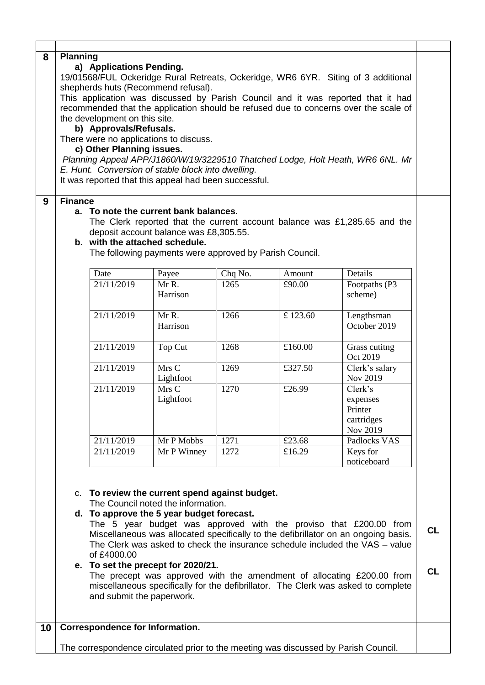| 8<br>9 | <b>Planning</b><br>a) Applications Pending.<br>19/01568/FUL Ockeridge Rural Retreats, Ockeridge, WR6 6YR. Siting of 3 additional<br>shepherds huts (Recommend refusal).<br>This application was discussed by Parish Council and it was reported that it had<br>recommended that the application should be refused due to concerns over the scale of<br>the development on this site.<br>b) Approvals/Refusals.<br>There were no applications to discuss.<br>c) Other Planning issues.<br>Planning Appeal APP/J1860/W/19/3229510 Thatched Lodge, Holt Heath, WR6 6NL. Mr<br>E. Hunt. Conversion of stable block into dwelling.<br>It was reported that this appeal had been successful.<br><b>Finance</b><br>a. To note the current bank balances.<br>The Clerk reported that the current account balance was £1,285.65 and the |                                        |                                                         |                 |                  |                                                                                     |  |  |  |
|--------|--------------------------------------------------------------------------------------------------------------------------------------------------------------------------------------------------------------------------------------------------------------------------------------------------------------------------------------------------------------------------------------------------------------------------------------------------------------------------------------------------------------------------------------------------------------------------------------------------------------------------------------------------------------------------------------------------------------------------------------------------------------------------------------------------------------------------------|----------------------------------------|---------------------------------------------------------|-----------------|------------------|-------------------------------------------------------------------------------------|--|--|--|
|        |                                                                                                                                                                                                                                                                                                                                                                                                                                                                                                                                                                                                                                                                                                                                                                                                                                | b. with the attached schedule.         | deposit account balance was £8,305.55.                  |                 |                  |                                                                                     |  |  |  |
|        |                                                                                                                                                                                                                                                                                                                                                                                                                                                                                                                                                                                                                                                                                                                                                                                                                                |                                        | The following payments were approved by Parish Council. |                 |                  |                                                                                     |  |  |  |
|        |                                                                                                                                                                                                                                                                                                                                                                                                                                                                                                                                                                                                                                                                                                                                                                                                                                |                                        |                                                         |                 |                  |                                                                                     |  |  |  |
|        |                                                                                                                                                                                                                                                                                                                                                                                                                                                                                                                                                                                                                                                                                                                                                                                                                                | Date<br>21/11/2019                     | Payee<br>Mr R.                                          | Chq No.<br>1265 | Amount<br>£90.00 | Details<br>Footpaths (P3                                                            |  |  |  |
|        |                                                                                                                                                                                                                                                                                                                                                                                                                                                                                                                                                                                                                                                                                                                                                                                                                                |                                        | Harrison                                                |                 |                  | scheme)                                                                             |  |  |  |
|        |                                                                                                                                                                                                                                                                                                                                                                                                                                                                                                                                                                                                                                                                                                                                                                                                                                | 21/11/2019                             | Mr R.<br>Harrison                                       | 1266            | £123.60          | Lengthsman<br>October 2019                                                          |  |  |  |
|        |                                                                                                                                                                                                                                                                                                                                                                                                                                                                                                                                                                                                                                                                                                                                                                                                                                | 21/11/2019                             | Top Cut                                                 | 1268            | £160.00          | Grass cutitng<br>Oct 2019                                                           |  |  |  |
|        |                                                                                                                                                                                                                                                                                                                                                                                                                                                                                                                                                                                                                                                                                                                                                                                                                                | 21/11/2019                             | Mrs C<br>Lightfoot                                      | 1269            | £327.50          | Clerk's salary<br>Nov 2019                                                          |  |  |  |
|        |                                                                                                                                                                                                                                                                                                                                                                                                                                                                                                                                                                                                                                                                                                                                                                                                                                | 21/11/2019                             | Mrs C<br>Lightfoot                                      | 1270            | £26.99           | Clerk's<br>expenses<br>Printer<br>cartridges<br>Nov 2019                            |  |  |  |
|        |                                                                                                                                                                                                                                                                                                                                                                                                                                                                                                                                                                                                                                                                                                                                                                                                                                | 21/11/2019                             | Mr P Mobbs                                              | 1271            | £23.68           | Padlocks VAS                                                                        |  |  |  |
|        |                                                                                                                                                                                                                                                                                                                                                                                                                                                                                                                                                                                                                                                                                                                                                                                                                                | 21/11/2019                             | Mr P Winney                                             | 1272            | £16.29           | Keys for<br>noticeboard                                                             |  |  |  |
|        | c. To review the current spend against budget.<br>The Council noted the information.<br>d. To approve the 5 year budget forecast.                                                                                                                                                                                                                                                                                                                                                                                                                                                                                                                                                                                                                                                                                              |                                        |                                                         |                 |                  |                                                                                     |  |  |  |
|        | The 5 year budget was approved with the proviso that $£200.00$ from<br>Miscellaneous was allocated specifically to the defibrillator on an ongoing basis.<br>The Clerk was asked to check the insurance schedule included the VAS - value<br>of £4000.00                                                                                                                                                                                                                                                                                                                                                                                                                                                                                                                                                                       |                                        |                                                         |                 |                  |                                                                                     |  |  |  |
|        | e. To set the precept for 2020/21.<br>The precept was approved with the amendment of allocating £200.00 from<br>miscellaneous specifically for the defibrillator. The Clerk was asked to complete<br>and submit the paperwork.                                                                                                                                                                                                                                                                                                                                                                                                                                                                                                                                                                                                 |                                        |                                                         |                 |                  |                                                                                     |  |  |  |
| 10     |                                                                                                                                                                                                                                                                                                                                                                                                                                                                                                                                                                                                                                                                                                                                                                                                                                | <b>Correspondence for Information.</b> |                                                         |                 |                  |                                                                                     |  |  |  |
|        |                                                                                                                                                                                                                                                                                                                                                                                                                                                                                                                                                                                                                                                                                                                                                                                                                                |                                        |                                                         |                 |                  | The correspondence circulated prior to the meeting was discussed by Parish Council. |  |  |  |